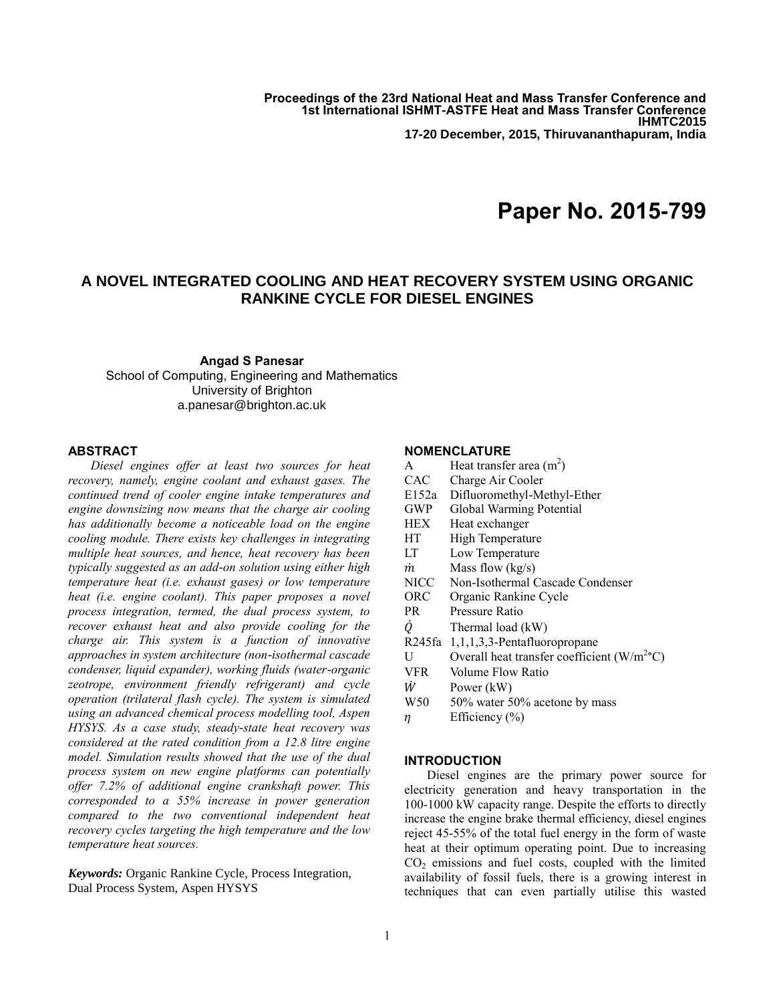**Proceedings of the 23rd National Heat and Mass Transfer Conference and 1st International ISHMT-ASTFE Heat and Mass Transfer Conference IHMTC2015 17-20 December, 2015, Thiruvananthapuram, India**

# **Paper No. 2015-799**

# **A NOVEL INTEGRATED COOLING AND HEAT RECOVERY SYSTEM USING ORGANIC RANKINE CYCLE FOR DIESEL ENGINES**

# **Angad S Panesar** School of Computing, Engineering and Mathematics University of Brighton a.panesar@brighton.ac.uk

# **ABSTRACT**

*Diesel engines offer at least two sources for heat recovery, namely, engine coolant and exhaust gases. The continued trend of cooler engine intake temperatures and engine downsizing now means that the charge air cooling has additionally become a noticeable load on the engine cooling module. There exists key challenges in integrating multiple heat sources, and hence, heat recovery has been typically suggested as an add-on solution using either high temperature heat (i.e. exhaust gases) or low temperature heat (i.e. engine coolant). This paper proposes a novel process integration, termed, the dual process system, to recover exhaust heat and also provide cooling for the charge air. This system is a function of innovative approaches in system architecture (non-isothermal cascade condenser, liquid expander), working fluids (water-organic zeotrope, environment friendly refrigerant) and cycle operation (trilateral flash cycle). The system is simulated using an advanced chemical process modelling tool, Aspen HYSYS. As a case study, steady-state heat recovery was considered at the rated condition from a 12.8 litre engine model. Simulation results showed that the use of the dual process system on new engine platforms can potentially offer 7.2% of additional engine crankshaft power. This corresponded to a 55% increase in power generation compared to the two conventional independent heat recovery cycles targeting the high temperature and the low temperature heat sources.*

*Keywords:* Organic Rankine Cycle, Process Integration, Dual Process System, Aspen HYSYS

# **NOMENCLATURE**

| A           | Heat transfer area $(m^2)$                   |  |  |
|-------------|----------------------------------------------|--|--|
| <b>CAC</b>  | Charge Air Cooler                            |  |  |
| E152a       | Difluoromethyl-Methyl-Ether                  |  |  |
| GWP         | Global Warming Potential                     |  |  |
| HEX         | Heat exchanger                               |  |  |
| HТ          | High Temperature                             |  |  |
| LT          | Low Temperature                              |  |  |
| m           | Mass flow $(kg/s)$                           |  |  |
| <b>NICC</b> | Non-Isothermal Cascade Condenser             |  |  |
| ORC         | Organic Rankine Cycle                        |  |  |
| PR          | Pressure Ratio                               |  |  |
| Ò,          | Thermal load (kW)                            |  |  |
| R245fa      | $1,1,1,3,3$ -Pentafluoropropane              |  |  |
| U           | Overall heat transfer coefficient $(W/m2°C)$ |  |  |
| <b>VFR</b>  | Volume Flow Ratio                            |  |  |
| Ŵ           | Power (kW)                                   |  |  |
| W50         | 50% water 50% acetone by mass                |  |  |
| η           | Efficiency $(\% )$                           |  |  |
|             |                                              |  |  |

# **INTRODUCTION**

Diesel engines are the primary power source for electricity generation and heavy transportation in the 100-1000 kW capacity range. Despite the efforts to directly increase the engine brake thermal efficiency, diesel engines reject 45-55% of the total fuel energy in the form of waste heat at their optimum operating point. Due to increasing  $CO<sub>2</sub>$  emissions and fuel costs, coupled with the limited availability of fossil fuels, there is a growing interest in techniques that can even partially utilise this wasted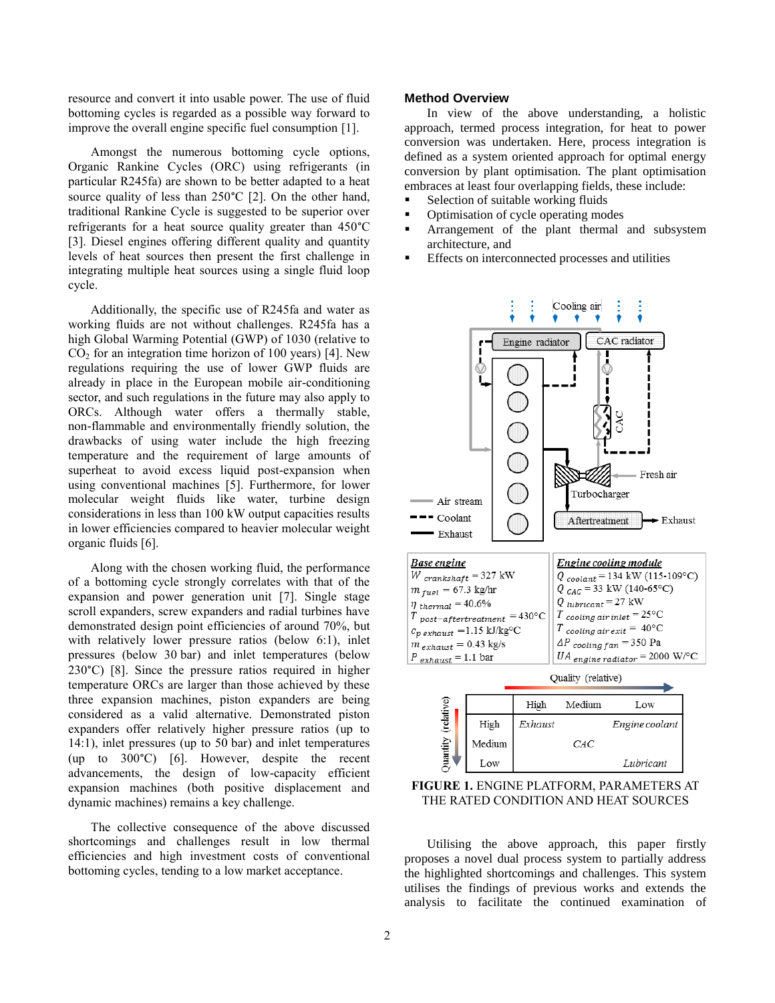resource and convert it into usable power. The use of fluid bottoming cycles is regarded as a possible way forward to improve the overall engine specific fuel consumption [1].

Amongst the numerous bottoming cycle options, Organic Rankine Cycles (ORC) using refrigerants (in particular R245fa) are shown to be better adapted to a heat source quality of less than 250°C [2]. On the other hand, traditional Rankine Cycle is suggested to be superior over refrigerants for a heat source quality greater than 450°C [3]. Diesel engines offering different quality and quantity levels of heat sources then present the first challenge in integrating multiple heat sources using a single fluid loop cycle.

Additionally, the specific use of R245fa and water as working fluids are not without challenges. R245fa has a high Global Warming Potential (GWP) of 1030 (relative to  $CO<sub>2</sub>$  for an integration time horizon of 100 years) [4]. New regulations requiring the use of lower GWP fluids are already in place in the European mobile air-conditioning sector, and such regulations in the future may also apply to ORCs. Although water offers a thermally stable, non-flammable and environmentally friendly solution, the drawbacks of using water include the high freezing temperature and the requirement of large amounts of superheat to avoid excess liquid post-expansion when using conventional machines [5]. Furthermore, for lower molecular weight fluids like water, turbine design considerations in less than 100 kW output capacities results in lower efficiencies compared to heavier molecular weight organic fluids [6].

Along with the chosen working fluid, the performance of a bottoming cycle strongly correlates with that of the expansion and power generation unit [7]. Single stage scroll expanders, screw expanders and radial turbines have demonstrated design point efficiencies of around 70%, but with relatively lower pressure ratios (below 6:1), inlet pressures (below 30 bar) and inlet temperatures (below 230°C) [8]. Since the pressure ratios required in higher temperature ORCs are larger than those achieved by these three expansion machines, piston expanders are being considered as a valid alternative. Demonstrated piston expanders offer relatively higher pressure ratios (up to 14:1), inlet pressures (up to 50 bar) and inlet temperatures (up to 300°C) [6]. However, despite the recent advancements, the design of low-capacity efficient expansion machines (both positive displacement and dynamic machines) remains a key challenge.

The collective consequence of the above discussed shortcomings and challenges result in low thermal efficiencies and high investment costs of conventional bottoming cycles, tending to a low market acceptance.

## **Method Overview**

In view of the above understanding, a holistic approach, termed process integration, for heat to power conversion was undertaken. Here, process integration is defined as a system oriented approach for optimal energy conversion by plant optimisation. The plant optimisation embraces at least four overlapping fields, these include:

- Selection of suitable working fluids
- Optimisation of cycle operating modes
- **Arrangement** of the plant thermal and subsystem architecture, and
- Effects on interconnected processes and utilities



**FIGURE 1.** ENGINE PLATFORM, PARAMETERS AT THE RATED CONDITION AND HEAT SOURCES

Utilising the above approach, this paper firstly proposes a novel dual process system to partially address the highlighted shortcomings and challenges. This system utilises the findings of previous works and extends the analysis to facilitate the continued examination of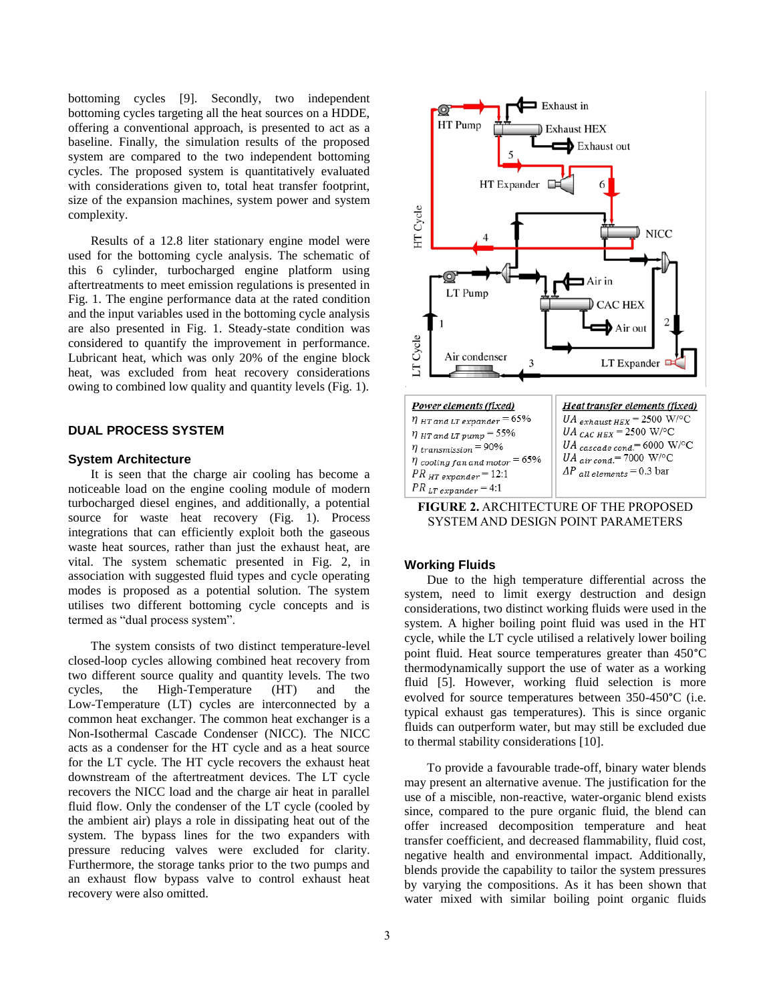bottoming cycles [9]. Secondly, two independent bottoming cycles targeting all the heat sources on a HDDE, offering a conventional approach, is presented to act as a baseline. Finally, the simulation results of the proposed system are compared to the two independent bottoming cycles. The proposed system is quantitatively evaluated with considerations given to, total heat transfer footprint, size of the expansion machines, system power and system complexity.

Results of a 12.8 liter stationary engine model were used for the bottoming cycle analysis. The schematic of this 6 cylinder, turbocharged engine platform using aftertreatments to meet emission regulations is presented in Fig. 1. The engine performance data at the rated condition and the input variables used in the bottoming cycle analysis are also presented in Fig. 1. Steady-state condition was considered to quantify the improvement in performance. Lubricant heat, which was only 20% of the engine block heat, was excluded from heat recovery considerations owing to combined low quality and quantity levels (Fig. 1).

# **DUAL PROCESS SYSTEM**

#### **System Architecture**

It is seen that the charge air cooling has become a noticeable load on the engine cooling module of modern turbocharged diesel engines, and additionally, a potential source for waste heat recovery (Fig. 1). Process integrations that can efficiently exploit both the gaseous waste heat sources, rather than just the exhaust heat, are vital. The system schematic presented in Fig. 2, in association with suggested fluid types and cycle operating modes is proposed as a potential solution. The system utilises two different bottoming cycle concepts and is termed as "dual process system".

The system consists of two distinct temperature-level closed-loop cycles allowing combined heat recovery from two different source quality and quantity levels. The two cycles, the High-Temperature (HT) and the Low-Temperature (LT) cycles are interconnected by a common heat exchanger. The common heat exchanger is a Non-Isothermal Cascade Condenser (NICC). The NICC acts as a condenser for the HT cycle and as a heat source for the LT cycle. The HT cycle recovers the exhaust heat downstream of the aftertreatment devices. The LT cycle recovers the NICC load and the charge air heat in parallel fluid flow. Only the condenser of the LT cycle (cooled by the ambient air) plays a role in dissipating heat out of the system. The bypass lines for the two expanders with pressure reducing valves were excluded for clarity. Furthermore, the storage tanks prior to the two pumps and an exhaust flow bypass valve to control exhaust heat recovery were also omitted.



**FIGURE 2.** ARCHITECTURE OF THE PROPOSED SYSTEM AND DESIGN POINT PARAMETERS

#### **Working Fluids**

Due to the high temperature differential across the system, need to limit exergy destruction and design considerations, two distinct working fluids were used in the system. A higher boiling point fluid was used in the HT cycle, while the LT cycle utilised a relatively lower boiling point fluid. Heat source temperatures greater than 450°C thermodynamically support the use of water as a working fluid [5]. However, working fluid selection is more evolved for source temperatures between 350-450°C (i.e. typical exhaust gas temperatures). This is since organic fluids can outperform water, but may still be excluded due to thermal stability considerations [10].

To provide a favourable trade-off, binary water blends may present an alternative avenue. The justification for the use of a miscible, non-reactive, water-organic blend exists since, compared to the pure organic fluid, the blend can offer increased decomposition temperature and heat transfer coefficient, and decreased flammability, fluid cost, negative health and environmental impact. Additionally, blends provide the capability to tailor the system pressures by varying the compositions. As it has been shown that water mixed with similar boiling point organic fluids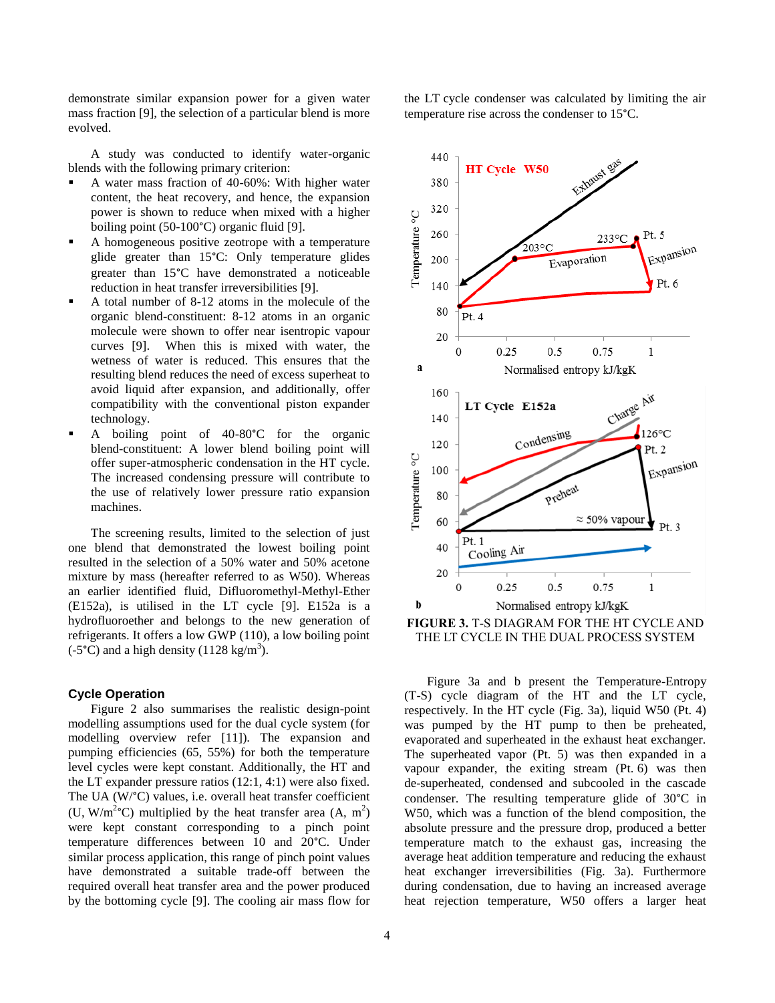demonstrate similar expansion power for a given water mass fraction [9], the selection of a particular blend is more evolved.

A study was conducted to identify water-organic blends with the following primary criterion:

- A water mass fraction of 40-60%: With higher water content, the heat recovery, and hence, the expansion power is shown to reduce when mixed with a higher boiling point (50-100°C) organic fluid [9].
- A homogeneous positive zeotrope with a temperature glide greater than 15°C: Only temperature glides greater than 15°C have demonstrated a noticeable reduction in heat transfer irreversibilities [9].
- A total number of 8-12 atoms in the molecule of the organic blend-constituent: 8-12 atoms in an organic molecule were shown to offer near isentropic vapour curves [9]. When this is mixed with water, the wetness of water is reduced. This ensures that the resulting blend reduces the need of excess superheat to avoid liquid after expansion, and additionally, offer compatibility with the conventional piston expander technology.
- A boiling point of 40-80°C for the organic blend-constituent: A lower blend boiling point will offer super-atmospheric condensation in the HT cycle. The increased condensing pressure will contribute to the use of relatively lower pressure ratio expansion machines.

The screening results, limited to the selection of just one blend that demonstrated the lowest boiling point resulted in the selection of a 50% water and 50% acetone mixture by mass (hereafter referred to as W50). Whereas an earlier identified fluid, Difluoromethyl-Methyl-Ether (E152a), is utilised in the LT cycle [9]. E152a is a hydrofluoroether and belongs to the new generation of refrigerants. It offers a low GWP (110), a low boiling point  $(-5^{\circ}C)$  and a high density (1128 kg/m<sup>3</sup>).

#### **Cycle Operation**

Figure 2 also summarises the realistic design-point modelling assumptions used for the dual cycle system (for modelling overview refer [11]). The expansion and pumping efficiencies (65, 55%) for both the temperature level cycles were kept constant. Additionally, the HT and the LT expander pressure ratios (12:1, 4:1) were also fixed. The UA (W/°C) values, i.e. overall heat transfer coefficient (U, W/m<sup>2</sup>°C) multiplied by the heat transfer area  $(A, m^2)$ were kept constant corresponding to a pinch point temperature differences between 10 and 20°C. Under similar process application, this range of pinch point values have demonstrated a suitable trade-off between the required overall heat transfer area and the power produced by the bottoming cycle [9]. The cooling air mass flow for

4

the LT cycle condenser was calculated by limiting the air temperature rise across the condenser to 15°C.



**FIGURE 3.** T-S DIAGRAM FOR THE HT CYCLE AND THE LT CYCLE IN THE DUAL PROCESS SYSTEM

Figure 3a and b present the Temperature-Entropy (T-S) cycle diagram of the HT and the LT cycle, respectively. In the HT cycle (Fig. 3a), liquid W50 (Pt. 4) was pumped by the HT pump to then be preheated, evaporated and superheated in the exhaust heat exchanger. The superheated vapor (Pt. 5) was then expanded in a vapour expander, the exiting stream (Pt. 6) was then de-superheated, condensed and subcooled in the cascade condenser. The resulting temperature glide of 30°C in W50, which was a function of the blend composition, the absolute pressure and the pressure drop, produced a better temperature match to the exhaust gas, increasing the average heat addition temperature and reducing the exhaust heat exchanger irreversibilities (Fig. 3a). Furthermore during condensation, due to having an increased average heat rejection temperature, W50 offers a larger heat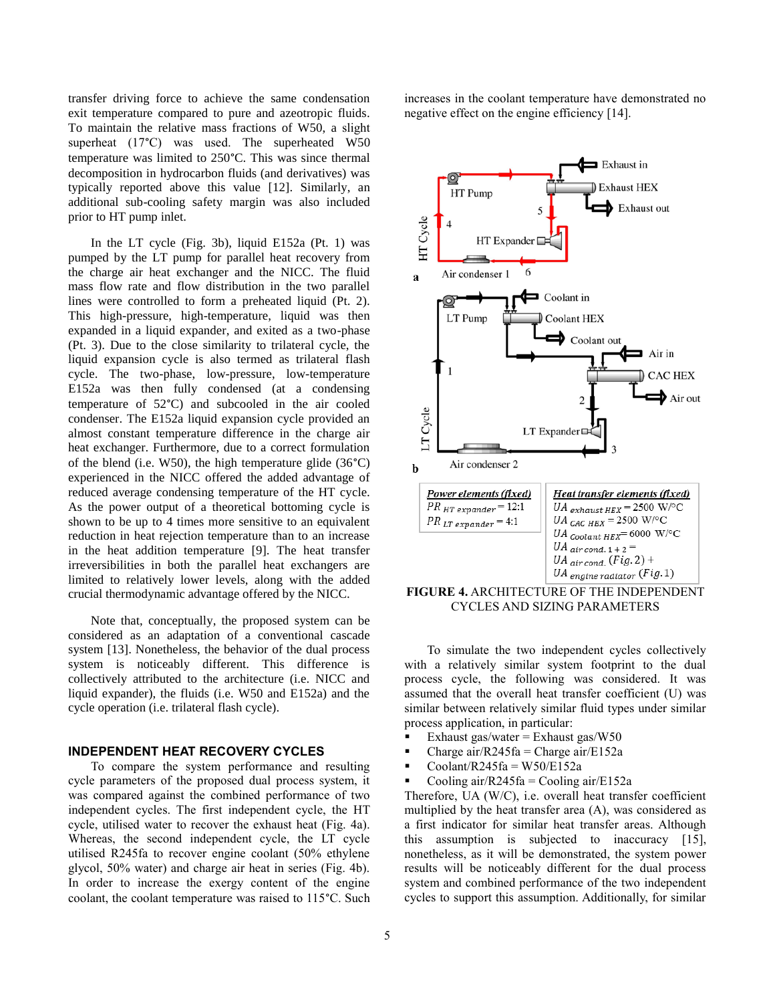transfer driving force to achieve the same condensation exit temperature compared to pure and azeotropic fluids. To maintain the relative mass fractions of W50, a slight superheat (17°C) was used. The superheated W50 temperature was limited to 250°C. This was since thermal decomposition in hydrocarbon fluids (and derivatives) was typically reported above this value [12]. Similarly, an additional sub-cooling safety margin was also included prior to HT pump inlet.

In the LT cycle (Fig. 3b), liquid E152a (Pt. 1) was pumped by the LT pump for parallel heat recovery from the charge air heat exchanger and the NICC. The fluid mass flow rate and flow distribution in the two parallel lines were controlled to form a preheated liquid (Pt. 2). This high-pressure, high-temperature, liquid was then expanded in a liquid expander, and exited as a two-phase (Pt. 3). Due to the close similarity to trilateral cycle, the liquid expansion cycle is also termed as trilateral flash cycle. The two-phase, low-pressure, low-temperature E152a was then fully condensed (at a condensing temperature of 52°C) and subcooled in the air cooled condenser. The E152a liquid expansion cycle provided an almost constant temperature difference in the charge air heat exchanger. Furthermore, due to a correct formulation of the blend (i.e. W50), the high temperature glide  $(36^{\circ}C)$ experienced in the NICC offered the added advantage of reduced average condensing temperature of the HT cycle. As the power output of a theoretical bottoming cycle is shown to be up to 4 times more sensitive to an equivalent reduction in heat rejection temperature than to an increase in the heat addition temperature [9]. The heat transfer irreversibilities in both the parallel heat exchangers are limited to relatively lower levels, along with the added crucial thermodynamic advantage offered by the NICC.

Note that, conceptually, the proposed system can be considered as an adaptation of a conventional cascade system [13]. Nonetheless, the behavior of the dual process system is noticeably different. This difference is collectively attributed to the architecture (i.e. NICC and liquid expander), the fluids (i.e. W50 and E152a) and the cycle operation (i.e. trilateral flash cycle).

# **INDEPENDENT HEAT RECOVERY CYCLES**

To compare the system performance and resulting cycle parameters of the proposed dual process system, it was compared against the combined performance of two independent cycles. The first independent cycle, the HT cycle, utilised water to recover the exhaust heat (Fig. 4a). Whereas, the second independent cycle, the LT cycle utilised R245fa to recover engine coolant (50% ethylene glycol, 50% water) and charge air heat in series (Fig. 4b). In order to increase the exergy content of the engine coolant, the coolant temperature was raised to 115°C. Such

increases in the coolant temperature have demonstrated no negative effect on the engine efficiency [14].



**FIGURE 4.** ARCHITECTURE OF THE INDEPENDENT CYCLES AND SIZING PARAMETERS

To simulate the two independent cycles collectively with a relatively similar system footprint to the dual process cycle, the following was considered. It was assumed that the overall heat transfer coefficient (U) was similar between relatively similar fluid types under similar process application, in particular:

- Exhaust gas/water = Exhaust gas/ $W50$
- Charge air/R245fa = Charge air/E152a
- $Coolant/R245fa = W50/E152a$
- Cooling  $air/R245fa =$ Cooling  $air/E152a$

Therefore, UA (W/C), i.e. overall heat transfer coefficient multiplied by the heat transfer area (A), was considered as a first indicator for similar heat transfer areas. Although this assumption is subjected to inaccuracy [15], nonetheless, as it will be demonstrated, the system power results will be noticeably different for the dual process system and combined performance of the two independent cycles to support this assumption. Additionally, for similar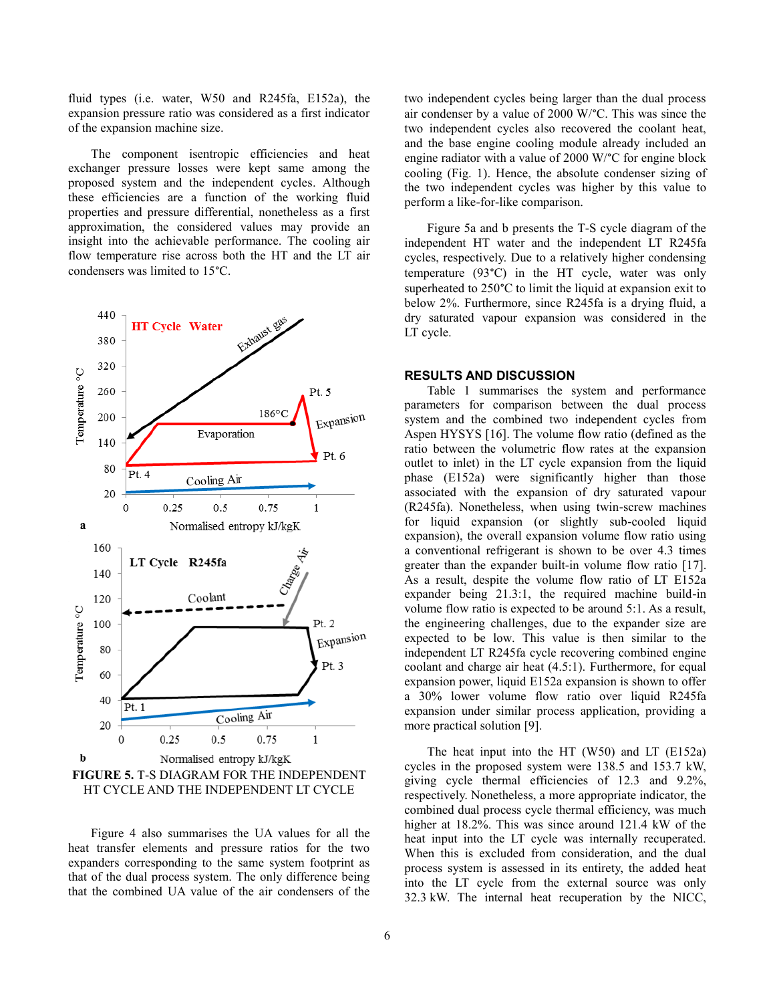fluid types (i.e. water, W50 and R245fa, E152a), the expansion pressure ratio was considered as a first indicator of the expansion machine size.

The component isentropic efficiencies and heat exchanger pressure losses were kept same among the proposed system and the independent cycles. Although these efficiencies are a function of the working fluid properties and pressure differential, nonetheless as a first approximation, the considered values may provide an insight into the achievable performance. The cooling air flow temperature rise across both the HT and the LT air condensers was limited to 15°C.



HT CYCLE AND THE INDEPENDENT LT CYCLE

Figure 4 also summarises the UA values for all the heat transfer elements and pressure ratios for the two expanders corresponding to the same system footprint as that of the dual process system. The only difference being that the combined UA value of the air condensers of the

6

two independent cycles being larger than the dual process air condenser by a value of 2000 W/°C. This was since the two independent cycles also recovered the coolant heat, and the base engine cooling module already included an engine radiator with a value of 2000 W/°C for engine block cooling (Fig. 1). Hence, the absolute condenser sizing of the two independent cycles was higher by this value to perform a like-for-like comparison.

Figure 5a and b presents the T-S cycle diagram of the independent HT water and the independent LT R245fa cycles, respectively. Due to a relatively higher condensing temperature (93°C) in the HT cycle, water was only superheated to 250°C to limit the liquid at expansion exit to below 2%. Furthermore, since R245fa is a drying fluid, a dry saturated vapour expansion was considered in the LT cycle.

# **RESULTS AND DISCUSSION**

Table 1 summarises the system and performance parameters for comparison between the dual process system and the combined two independent cycles from Aspen HYSYS [16]. The volume flow ratio (defined as the ratio between the volumetric flow rates at the expansion outlet to inlet) in the LT cycle expansion from the liquid phase (E152a) were significantly higher than those associated with the expansion of dry saturated vapour (R245fa). Nonetheless, when using twin-screw machines for liquid expansion (or slightly sub-cooled liquid expansion), the overall expansion volume flow ratio using a conventional refrigerant is shown to be over 4.3 times greater than the expander built-in volume flow ratio [17]. As a result, despite the volume flow ratio of LT E152a expander being 21.3:1, the required machine build-in volume flow ratio is expected to be around 5:1. As a result, the engineering challenges, due to the expander size are expected to be low. This value is then similar to the independent LT R245fa cycle recovering combined engine coolant and charge air heat (4.5:1). Furthermore, for equal expansion power, liquid E152a expansion is shown to offer a 30% lower volume flow ratio over liquid R245fa expansion under similar process application, providing a more practical solution [9].

The heat input into the HT (W50) and LT (E152a) cycles in the proposed system were 138.5 and 153.7 kW, giving cycle thermal efficiencies of 12.3 and 9.2%, respectively. Nonetheless, a more appropriate indicator, the combined dual process cycle thermal efficiency, was much higher at 18.2%. This was since around 121.4 kW of the heat input into the LT cycle was internally recuperated. When this is excluded from consideration, and the dual process system is assessed in its entirety, the added heat into the LT cycle from the external source was only 32.3 kW. The internal heat recuperation by the NICC,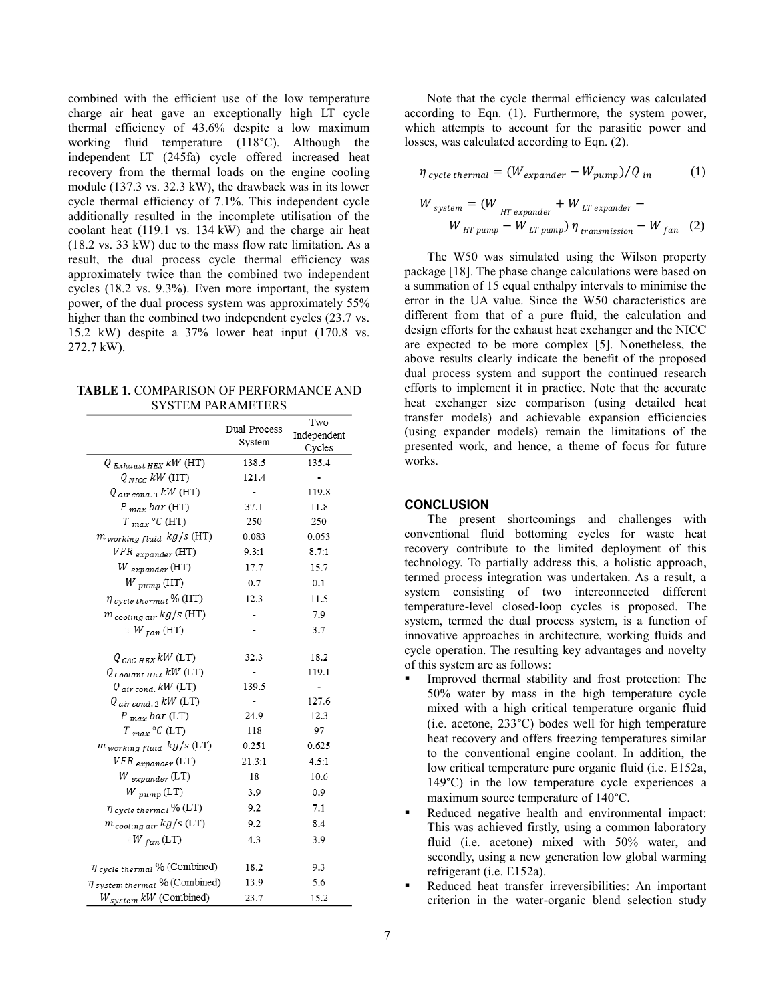combined with the efficient use of the low temperature charge air heat gave an exceptionally high LT cycle thermal efficiency of 43.6% despite a low maximum working fluid temperature (118°C). Although the independent LT (245fa) cycle offered increased heat recovery from the thermal loads on the engine cooling module (137.3 vs. 32.3 kW), the drawback was in its lower cycle thermal efficiency of 7.1%. This independent cycle additionally resulted in the incomplete utilisation of the coolant heat (119.1 vs. 134 kW) and the charge air heat (18.2 vs. 33 kW) due to the mass flow rate limitation. As a result, the dual process cycle thermal efficiency was approximately twice than the combined two independent cycles (18.2 vs. 9.3%). Even more important, the system power, of the dual process system was approximately 55% higher than the combined two independent cycles  $(23.7 \text{ vs.})$ 15.2 kW) despite a 37% lower heat input (170.8 vs. 272.7 kW).

**TABLE 1.** COMPARISON OF PERFORMANCE AND SYSTEM PARAMETERS

|                                      |                        | Two         |
|--------------------------------------|------------------------|-------------|
|                                      | Dual Process<br>System | Independent |
|                                      |                        | Cycles      |
| $Q_{Exhaust HEX}$ kW (HT)            | 138.5                  | 135.4       |
| $Q_{NICG}$ kW (HT)                   | 121.4                  |             |
| $Q_{air\,cond.\,1}$ kW (HT)          |                        | 119.8       |
| $P_{max}$ bar (HT)                   | 37.1                   | 11.8        |
| $T_{max}$ °C (HT)                    | 250                    | 250         |
| m <sub>working fluid</sub> kg/s (HT) | 0.083                  | 0.053       |
| $VFR$ <sub>expander</sub> (HT)       | 9.3:1                  | 8.7:1       |
| $W_{expander}$ (HT)                  | 17.7                   | 15.7        |
| $W_{pump}$ (HT)                      | 0.7                    | 0.1         |
| $\eta$ cycle thermal $\%$ (HT)       | 12.3                   | 11.5        |
| m <sub>cooling air</sub> kg/s (HT)   |                        | 7.9         |
| $W_{fan}$ (HT)                       |                        | 3.7         |
| $Q_{CAC HEX}$ $kW$ (LT)              | 32.3                   | 18.2        |
| $Q_{\text{Coolant HEX}}$ kW (LT)     |                        | 119.1       |
| $Q_{air\,cond.}$ kW (LT)             | 139.5                  |             |
| $Q_{air\,cond.\,2}$ kW (LT)          |                        | 127.6       |
| $P_{max}$ bar (LT)                   | 24.9                   | 12.3        |
| $T_{max}$ °C (LT)                    | 118                    | 97          |
| $m_{working\ fluid}$ $kg/s$ (LT)     | 0.251                  | 0.625       |
| $VFR$ $_{expander}$ (LT)             | 21.3:1                 | 4.5:1       |
| $W_{\text{ }expander}$ (LT)          | 18                     | 10.6        |
| $W_{pump}$ (LT)                      | 3.9                    | 0.9         |
| $\eta$ cycle thermal $\%$ (LT)       | 9.2                    | 7.1         |
| m cooling air kg/s (LT)              | 9.2                    | 8.4         |
| $W_{fan}$ (LT)                       | 4.3                    | 3.9         |
| $\eta$ cycle thermal $\%$ (Combined) | 18.2                   | 9.3         |
| $\eta$ system thermal % (Combined)   | 13.9                   | 5.6         |
| $W_{system}$ kW (Combined)           | 23.7                   | 15.2        |

Note that the cycle thermal efficiency was calculated according to Eqn. (1). Furthermore, the system power, which attempts to account for the parasitic power and losses, was calculated according to Eqn. (2).

$$
\eta_{\text{ cycle thermal}} = (W_{\text{expander}} - W_{\text{pump}}) / Q_{\text{in}} \tag{1}
$$

$$
W_{system} = (W_{HT\ expander} + W_{LT\ expander} - W_{HT\ pump} - W_{LT\ pump}) \eta_{transmission} - W_{fan} \quad (2)
$$

The W50 was simulated using the Wilson property package [18]. The phase change calculations were based on a summation of 15 equal enthalpy intervals to minimise the error in the UA value. Since the W50 characteristics are different from that of a pure fluid, the calculation and design efforts for the exhaust heat exchanger and the NICC are expected to be more complex [5]. Nonetheless, the above results clearly indicate the benefit of the proposed dual process system and support the continued research efforts to implement it in practice. Note that the accurate heat exchanger size comparison (using detailed heat transfer models) and achievable expansion efficiencies (using expander models) remain the limitations of the presented work, and hence, a theme of focus for future works.

## **CONCLUSION**

The present shortcomings and challenges with conventional fluid bottoming cycles for waste heat recovery contribute to the limited deployment of this technology. To partially address this, a holistic approach, termed process integration was undertaken. As a result, a system consisting of two interconnected different temperature-level closed-loop cycles is proposed. The system, termed the dual process system, is a function of innovative approaches in architecture, working fluids and cycle operation. The resulting key advantages and novelty of this system are as follows:

- Improved thermal stability and frost protection: The 50% water by mass in the high temperature cycle mixed with a high critical temperature organic fluid (i.e. acetone, 233°C) bodes well for high temperature heat recovery and offers freezing temperatures similar to the conventional engine coolant. In addition, the low critical temperature pure organic fluid (i.e. E152a, 149°C) in the low temperature cycle experiences a maximum source temperature of 140°C.
- Reduced negative health and environmental impact: This was achieved firstly, using a common laboratory fluid (i.e. acetone) mixed with 50% water, and secondly, using a new generation low global warming refrigerant (i.e. E152a).
- Reduced heat transfer irreversibilities: An important criterion in the water-organic blend selection study